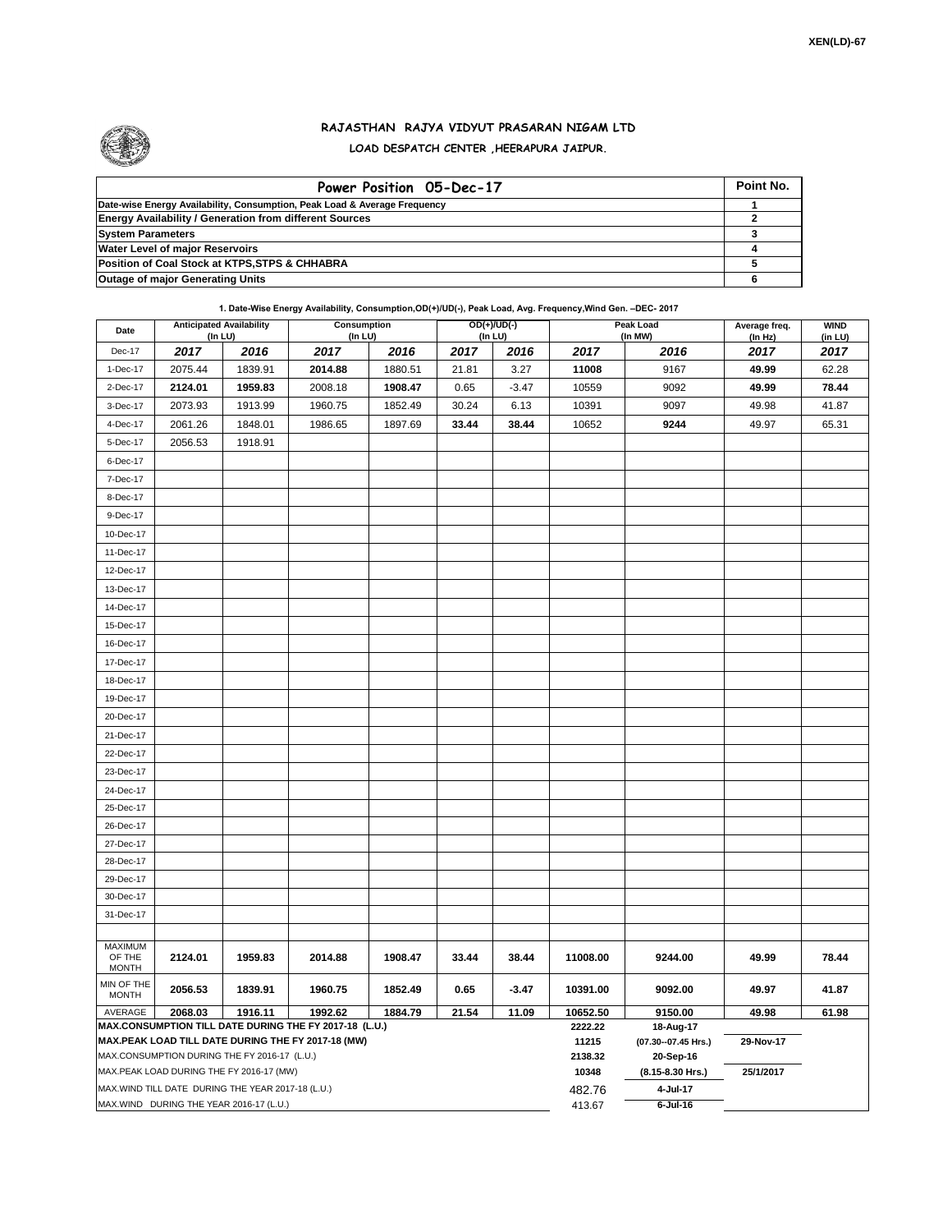

## **RAJASTHAN RAJYA VIDYUT PRASARAN NIGAM LTD LOAD DESPATCH CENTER ,HEERAPURA JAIPUR.**

| Power Position 05-Dec-17                                                  | Point No. |
|---------------------------------------------------------------------------|-----------|
| Date-wise Energy Availability, Consumption, Peak Load & Average Frequency |           |
| <b>Energy Availability / Generation from different Sources</b>            |           |
| <b>System Parameters</b>                                                  |           |
| <b>Water Level of major Reservoirs</b>                                    |           |
| Position of Coal Stock at KTPS, STPS & CHHABRA                            |           |
| <b>Outage of major Generating Units</b>                                   |           |

**1. Date-Wise Energy Availability, Consumption,OD(+)/UD(-), Peak Load, Avg. Frequency,Wind Gen. –DEC- 2017**

| Date                                                                                                         | <b>Anticipated Availability</b> | (In LU)                                           | Consumption<br>(In LU) |         |       | OD(+)/UD(-)<br>(In LU) |                     | Peak Load<br>(In MW)               | Average freq.<br>(ln Hz) | <b>WIND</b><br>(in LU) |
|--------------------------------------------------------------------------------------------------------------|---------------------------------|---------------------------------------------------|------------------------|---------|-------|------------------------|---------------------|------------------------------------|--------------------------|------------------------|
| Dec-17                                                                                                       | 2017                            | 2016                                              | 2017                   | 2016    | 2017  | 2016                   | 2017                | 2016                               | 2017                     | 2017                   |
| 1-Dec-17                                                                                                     | 2075.44                         | 1839.91                                           | 2014.88                | 1880.51 | 21.81 | 3.27                   | 11008               | 9167                               | 49.99                    | 62.28                  |
| 2-Dec-17                                                                                                     | 2124.01                         | 1959.83                                           | 2008.18                | 1908.47 | 0.65  | $-3.47$                | 10559               | 9092                               | 49.99                    | 78.44                  |
| 3-Dec-17                                                                                                     | 2073.93                         | 1913.99                                           | 1960.75                | 1852.49 | 30.24 | 6.13                   | 10391               | 9097                               | 49.98                    | 41.87                  |
| 4-Dec-17                                                                                                     | 2061.26                         | 1848.01                                           | 1986.65                | 1897.69 | 33.44 | 38.44                  | 10652               | 9244                               | 49.97                    | 65.31                  |
| 5-Dec-17                                                                                                     | 2056.53                         | 1918.91                                           |                        |         |       |                        |                     |                                    |                          |                        |
| 6-Dec-17                                                                                                     |                                 |                                                   |                        |         |       |                        |                     |                                    |                          |                        |
| 7-Dec-17                                                                                                     |                                 |                                                   |                        |         |       |                        |                     |                                    |                          |                        |
| 8-Dec-17                                                                                                     |                                 |                                                   |                        |         |       |                        |                     |                                    |                          |                        |
| 9-Dec-17                                                                                                     |                                 |                                                   |                        |         |       |                        |                     |                                    |                          |                        |
| 10-Dec-17                                                                                                    |                                 |                                                   |                        |         |       |                        |                     |                                    |                          |                        |
| 11-Dec-17                                                                                                    |                                 |                                                   |                        |         |       |                        |                     |                                    |                          |                        |
| 12-Dec-17                                                                                                    |                                 |                                                   |                        |         |       |                        |                     |                                    |                          |                        |
| 13-Dec-17                                                                                                    |                                 |                                                   |                        |         |       |                        |                     |                                    |                          |                        |
| 14-Dec-17                                                                                                    |                                 |                                                   |                        |         |       |                        |                     |                                    |                          |                        |
| 15-Dec-17                                                                                                    |                                 |                                                   |                        |         |       |                        |                     |                                    |                          |                        |
| 16-Dec-17                                                                                                    |                                 |                                                   |                        |         |       |                        |                     |                                    |                          |                        |
| 17-Dec-17                                                                                                    |                                 |                                                   |                        |         |       |                        |                     |                                    |                          |                        |
| 18-Dec-17                                                                                                    |                                 |                                                   |                        |         |       |                        |                     |                                    |                          |                        |
| 19-Dec-17                                                                                                    |                                 |                                                   |                        |         |       |                        |                     |                                    |                          |                        |
| 20-Dec-17                                                                                                    |                                 |                                                   |                        |         |       |                        |                     |                                    |                          |                        |
| 21-Dec-17                                                                                                    |                                 |                                                   |                        |         |       |                        |                     |                                    |                          |                        |
| 22-Dec-17                                                                                                    |                                 |                                                   |                        |         |       |                        |                     |                                    |                          |                        |
| 23-Dec-17                                                                                                    |                                 |                                                   |                        |         |       |                        |                     |                                    |                          |                        |
| 24-Dec-17                                                                                                    |                                 |                                                   |                        |         |       |                        |                     |                                    |                          |                        |
| 25-Dec-17                                                                                                    |                                 |                                                   |                        |         |       |                        |                     |                                    |                          |                        |
| 26-Dec-17                                                                                                    |                                 |                                                   |                        |         |       |                        |                     |                                    |                          |                        |
| 27-Dec-17                                                                                                    |                                 |                                                   |                        |         |       |                        |                     |                                    |                          |                        |
| 28-Dec-17                                                                                                    |                                 |                                                   |                        |         |       |                        |                     |                                    |                          |                        |
| 29-Dec-17                                                                                                    |                                 |                                                   |                        |         |       |                        |                     |                                    |                          |                        |
| 30-Dec-17                                                                                                    |                                 |                                                   |                        |         |       |                        |                     |                                    |                          |                        |
| 31-Dec-17                                                                                                    |                                 |                                                   |                        |         |       |                        |                     |                                    |                          |                        |
|                                                                                                              |                                 |                                                   |                        |         |       |                        |                     |                                    |                          |                        |
| <b>MAXIMUM</b><br>OF THE                                                                                     | 2124.01                         | 1959.83                                           | 2014.88                | 1908.47 | 33.44 | 38.44                  | 11008.00            | 9244.00                            | 49.99                    | 78.44                  |
| <b>MONTH</b>                                                                                                 |                                 |                                                   |                        |         |       |                        |                     |                                    |                          |                        |
| MIN OF THE<br><b>MONTH</b>                                                                                   | 2056.53                         | 1839.91                                           | 1960.75                | 1852.49 | 0.65  | $-3.47$                | 10391.00            | 9092.00                            | 49.97                    | 41.87                  |
| AVERAGE                                                                                                      | 2068.03                         | 1916.11                                           | 1992.62                | 1884.79 | 21.54 | 11.09                  | 10652.50<br>2222.22 | 9150.00                            | 49.98                    | 61.98                  |
| MAX.CONSUMPTION TILL DATE DURING THE FY 2017-18 (L.U.)<br>MAX.PEAK LOAD TILL DATE DURING THE FY 2017-18 (MW) |                                 |                                                   |                        |         |       |                        |                     | 18-Aug-17<br>(07.30 -- 07.45 Hrs.) | 29-Nov-17                |                        |
| MAX.CONSUMPTION DURING THE FY 2016-17 (L.U.)                                                                 |                                 |                                                   |                        |         |       |                        |                     | 20-Sep-16                          |                          |                        |
|                                                                                                              |                                 | MAX.PEAK LOAD DURING THE FY 2016-17 (MW)          |                        |         |       |                        | 2138.32<br>10348    | (8.15-8.30 Hrs.)                   | 25/1/2017                |                        |
|                                                                                                              |                                 | MAX.WIND TILL DATE DURING THE YEAR 2017-18 (L.U.) |                        |         |       |                        | 482.76              | 4-Jul-17                           |                          |                        |
| MAX.WIND DURING THE YEAR 2016-17 (L.U.)                                                                      |                                 |                                                   |                        |         |       |                        |                     | $6$ -Jul-16                        |                          |                        |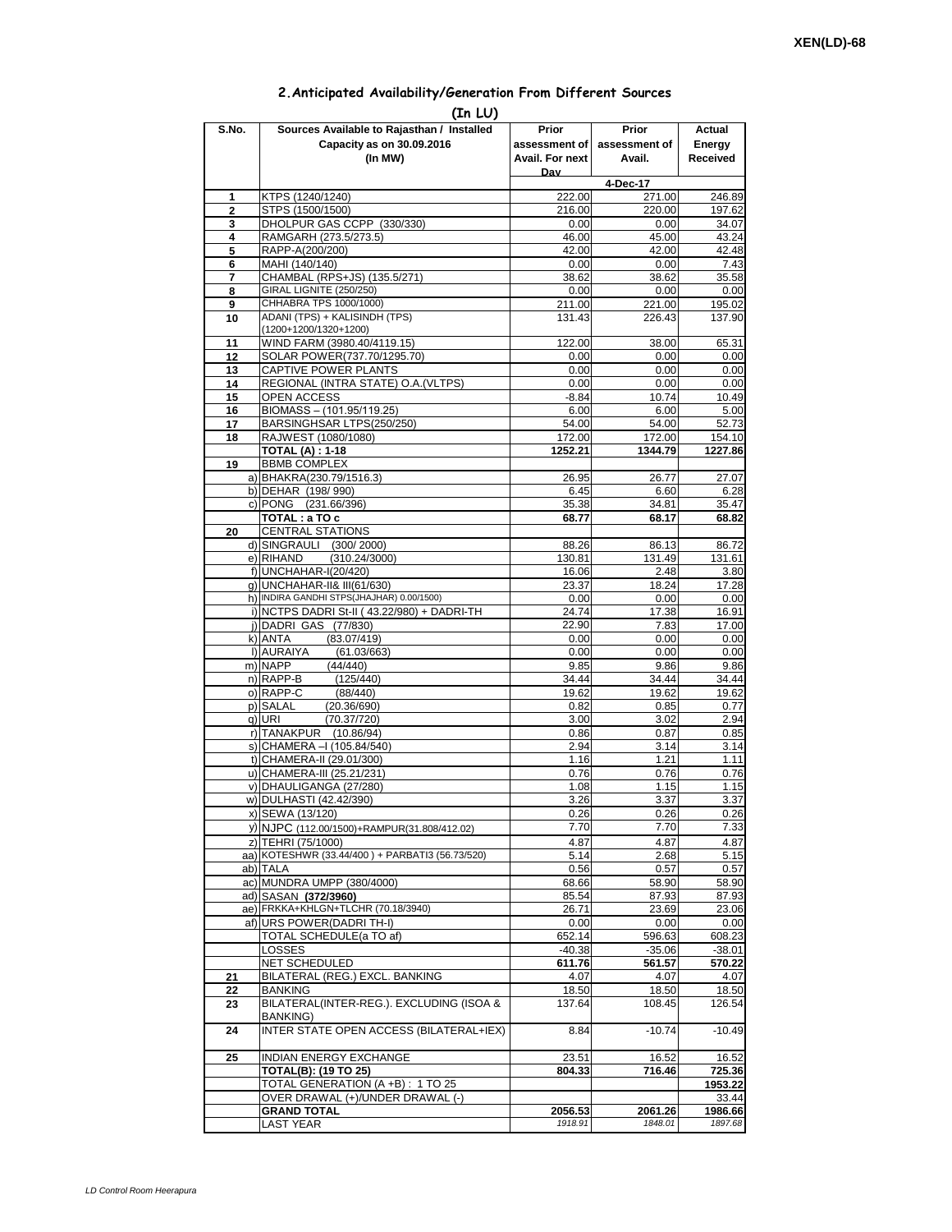## **2.Anticipated Availability/Generation From Different Sources**

| (In LU)        |                                                           |                    |                         |                    |  |  |  |  |  |  |
|----------------|-----------------------------------------------------------|--------------------|-------------------------|--------------------|--|--|--|--|--|--|
| S.No.          | Sources Available to Rajasthan / Installed                | Prior              | Prior                   | Actual             |  |  |  |  |  |  |
|                | Capacity as on 30.09.2016                                 | assessment of I    | assessment of<br>Avail. | Energy             |  |  |  |  |  |  |
|                | (In MW)                                                   | Avail. For next    | Received                |                    |  |  |  |  |  |  |
|                |                                                           | Dav                | 4-Dec-17                |                    |  |  |  |  |  |  |
| 1              | KTPS (1240/1240)                                          | 222.00             | 271.00                  | 246.89             |  |  |  |  |  |  |
| $\overline{2}$ | STPS (1500/1500)                                          | 216.00             | 220.00                  | 197.62             |  |  |  |  |  |  |
| 3              | DHOLPUR GAS CCPP (330/330)                                | 0.00               | 0.00                    | 34.07              |  |  |  |  |  |  |
| 4<br>5         | RAMGARH (273.5/273.5)<br>RAPP-A(200/200)                  | 46.00<br>42.00     | 45.00<br>42.00          | 43.24<br>42.48     |  |  |  |  |  |  |
| 6              | MAHI (140/140)                                            | 0.00               | 0.00                    | 7.43               |  |  |  |  |  |  |
| 7              | CHAMBAL (RPS+JS) (135.5/271)                              | 38.62              | 38.62                   | 35.58              |  |  |  |  |  |  |
| 8              | GIRAL LIGNITE (250/250)                                   | 0.00               | 0.00                    | 0.00               |  |  |  |  |  |  |
| 9<br>10        | CHHABRA TPS 1000/1000)<br>ADANI (TPS) + KALISINDH (TPS)   | 211.00<br>131.43   | 221.00<br>226.43        | 195.02<br>137.90   |  |  |  |  |  |  |
|                | (1200+1200/1320+1200)                                     |                    |                         |                    |  |  |  |  |  |  |
| 11             | WIND FARM (3980.40/4119.15)                               | 122.00             | 38.00                   | 65.31              |  |  |  |  |  |  |
| 12             | SOLAR POWER(737.70/1295.70)                               | 0.00               | 0.00                    | 0.00               |  |  |  |  |  |  |
| 13             | CAPTIVE POWER PLANTS                                      | 0.00               | 0.00                    | 0.00               |  |  |  |  |  |  |
| 14<br>15       | REGIONAL (INTRA STATE) O.A. (VLTPS)<br><b>OPEN ACCESS</b> | 0.00<br>$-8.84$    | 0.00<br>10.74           | 0.00<br>10.49      |  |  |  |  |  |  |
| 16             | BIOMASS - (101.95/119.25)                                 | 6.00               | 6.00                    | 5.00               |  |  |  |  |  |  |
| 17             | BARSINGHSAR LTPS(250/250)                                 | 54.00              | 54.00                   | 52.73              |  |  |  |  |  |  |
| 18             | RAJWEST (1080/1080)                                       | 172.00             | 172.00                  | 154.10             |  |  |  |  |  |  |
|                | <b>TOTAL (A): 1-18</b>                                    | 1252.21            | 1344.79                 | 1227.86            |  |  |  |  |  |  |
| 19             | <b>BBMB COMPLEX</b><br>a) BHAKRA(230.79/1516.3)           | 26.95              | 26.77                   | 27.07              |  |  |  |  |  |  |
|                | b) DEHAR (198/990)                                        | 6.45               | 6.60                    | 6.28               |  |  |  |  |  |  |
|                | c) PONG (231.66/396)                                      | 35.38              | 34.81                   | 35.47              |  |  |  |  |  |  |
|                | TOTAL: a TO c                                             | 68.77              | 68.17                   | 68.82              |  |  |  |  |  |  |
| 20             | <b>CENTRAL STATIONS</b>                                   |                    |                         |                    |  |  |  |  |  |  |
|                | d) SINGRAULI (300/2000)<br>e) RIHAND<br>(310.24/3000)     | 88.26<br>130.81    | 86.13<br>131.49         | 86.72<br>131.61    |  |  |  |  |  |  |
|                | f) UNCHAHAR-I(20/420)                                     | 16.06              | 2.48                    | 3.80               |  |  |  |  |  |  |
|                | g) UNCHAHAR-II& III(61/630)                               | 23.37              | 18.24                   | 17.28              |  |  |  |  |  |  |
|                | h) INDIRA GANDHI STPS(JHAJHAR) 0.00/1500)                 | 0.00               | 0.00                    | 0.00               |  |  |  |  |  |  |
|                | i) NCTPS DADRI St-II (43.22/980) + DADRI-TH               | 24.74              | 17.38                   | 16.91              |  |  |  |  |  |  |
|                | j) DADRI GAS (77/830)<br>(83.07/419)<br>k) ANTA           | 22.90<br>0.00      | 7.83<br>0.00            | 17.00<br>0.00      |  |  |  |  |  |  |
|                | I) AURAIYA<br>(61.03/663)                                 | 0.00               | 0.00                    | 0.00               |  |  |  |  |  |  |
|                | m) NAPP<br>(44/440)                                       | 9.85               | 9.86                    | 9.86               |  |  |  |  |  |  |
|                | n) RAPP-B<br>(125/440)                                    | 34.44              | 34.44                   | 34.44              |  |  |  |  |  |  |
|                | o) RAPP-C<br>(88/440)                                     | 19.62              | 19.62                   | 19.62              |  |  |  |  |  |  |
|                | p) SALAL<br>(20.36/690)<br>q) URI<br>(70.37/720)          | 0.82<br>3.00       | 0.85<br>3.02            | 0.77<br>2.94       |  |  |  |  |  |  |
|                | r) TANAKPUR (10.86/94)                                    | 0.86               | 0.87                    | 0.85               |  |  |  |  |  |  |
|                | s) CHAMERA - (105.84/540)                                 | 2.94               | 3.14                    | 3.14               |  |  |  |  |  |  |
|                | t) CHAMERA-II (29.01/300)                                 | 1.16               | 1.21                    | 1.11               |  |  |  |  |  |  |
|                | u) CHAMERA-III (25.21/231)                                | 0.76               | 0.76                    | 0.76               |  |  |  |  |  |  |
|                | v) DHAULIGANGA (27/280)<br>w) DULHASTI (42.42/390)        | 1.08<br>3.26       | 1.15<br>3.37            | 1.15<br>3.37       |  |  |  |  |  |  |
|                | x) SEWA (13/120)                                          | 0.26               | 0.26                    | 0.26               |  |  |  |  |  |  |
|                | y) NJPC (112.00/1500)+RAMPUR(31.808/412.02)               | 7.70               | 7.70                    | 7.33               |  |  |  |  |  |  |
|                | z) TEHRI (75/1000)                                        | 4.87               | 4.87                    | 4.87               |  |  |  |  |  |  |
|                | aa) KOTESHWR (33.44/400) + PARBATI3 (56.73/520)           | 5.14               | 2.68                    | 5.15               |  |  |  |  |  |  |
|                | ab) TALA<br>ac) MUNDRA UMPP (380/4000)                    | 0.56               | 0.57                    | 0.57               |  |  |  |  |  |  |
|                | ad) SASAN (372/3960)                                      | 68.66<br>85.54     | 58.90<br>87.93          | 58.90<br>87.93     |  |  |  |  |  |  |
|                | ae) FRKKA+KHLGN+TLCHR (70.18/3940)                        | 26.71              | 23.69                   | 23.06              |  |  |  |  |  |  |
|                | af) URS POWER(DADRITH-I)                                  | 0.00               | 0.00                    | 0.00               |  |  |  |  |  |  |
|                | TOTAL SCHEDULE(a TO af)                                   | 652.14             | 596.63                  | 608.23             |  |  |  |  |  |  |
|                | LOSSES<br><b>NET SCHEDULED</b>                            | $-40.38$<br>611.76 | $-35.06$                | $-38.01$           |  |  |  |  |  |  |
| 21             | BILATERAL (REG.) EXCL. BANKING                            | 4.07               | 561.57<br>4.07          | 570.22<br>4.07     |  |  |  |  |  |  |
| 22             | BANKING                                                   | 18.50              | 18.50                   | 18.50              |  |  |  |  |  |  |
| 23             | BILATERAL(INTER-REG.). EXCLUDING (ISOA &                  | 137.64             | 108.45                  | 126.54             |  |  |  |  |  |  |
|                | BANKING)                                                  |                    |                         |                    |  |  |  |  |  |  |
| 24             | INTER STATE OPEN ACCESS (BILATERAL+IEX)                   | 8.84               | $-10.74$                | $-10.49$           |  |  |  |  |  |  |
| 25             | <b>INDIAN ENERGY EXCHANGE</b>                             | 23.51              | 16.52                   | 16.52              |  |  |  |  |  |  |
|                | <b>TOTAL(B): (19 TO 25)</b>                               | 804.33             | 716.46                  | 725.36             |  |  |  |  |  |  |
|                | TOTAL GENERATION (A +B) : 1 TO 25                         |                    |                         | 1953.22            |  |  |  |  |  |  |
|                | OVER DRAWAL (+)/UNDER DRAWAL (-)                          |                    |                         | 33.44              |  |  |  |  |  |  |
|                | <b>GRAND TOTAL</b>                                        | 2056.53<br>1918.91 | 2061.26<br>1848.01      | 1986.66<br>1897.68 |  |  |  |  |  |  |
|                | LAST YEAR                                                 |                    |                         |                    |  |  |  |  |  |  |